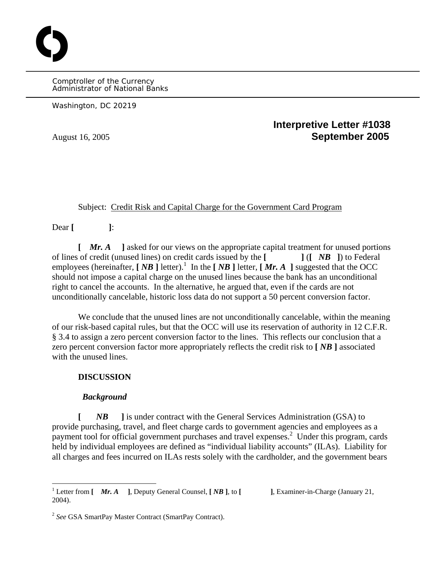Comptroller of the Currency Administrator of National Banks

Washington, DC 20219

O

# **Interpretive Letter #1038**  August 16, 2005 **September 2005**

## Subject: Credit Risk and Capital Charge for the Government Card Program

Dear **[ ]**:

**[** *Mr. A* **]** asked for our views on the appropriate capital treatment for unused portions of lines of credit (unused lines) on credit cards issued by the **[ ]** (**[** *NB* **]**) to Federal employees (hereinafter,  $\begin{bmatrix} NB \end{bmatrix}$  letter).<sup>1</sup> In the  $\begin{bmatrix} NB \end{bmatrix}$  letter,  $\begin{bmatrix} Mr. A \end{bmatrix}$  suggested that the OCC should not impose a capital charge on the unused lines because the bank has an unconditional right to cancel the accounts. In the alternative, he argued that, even if the cards are not unconditionally cancelable, historic loss data do not support a 50 percent conversion factor.

We conclude that the unused lines are not unconditionally cancelable, within the meaning of our risk-based capital rules, but that the OCC will use its reservation of authority in 12 C.F.R. § 3.4 to assign a zero percent conversion factor to the lines. This reflects our conclusion that a zero percent conversion factor more appropriately reflects the credit risk to **[** *NB* **]** associated with the unused lines.

### **DISCUSSION**

#### *Background*

**[** *NB* **]** is under contract with the General Services Administration (GSA) to provide purchasing, travel, and fleet charge cards to government agencies and employees as a payment tool for official government purchases and travel expenses.<sup>2</sup> Under this program, cards held by individual employees are defined as "individual liability accounts" (ILAs). Liability for all charges and fees incurred on ILAs rests solely with the cardholder, and the government bears

<sup>&</sup>lt;sup>1</sup> Letter from  $\begin{bmatrix} Mr. A \end{bmatrix}$ , Deputy General Counsel,  $\begin{bmatrix} NB \end{bmatrix}$ , to  $\begin{bmatrix} \end{bmatrix}$ , Examiner-in-Charge (January 21, 2004).

<sup>2</sup>*See* GSA SmartPay Master Contract (SmartPay Contract).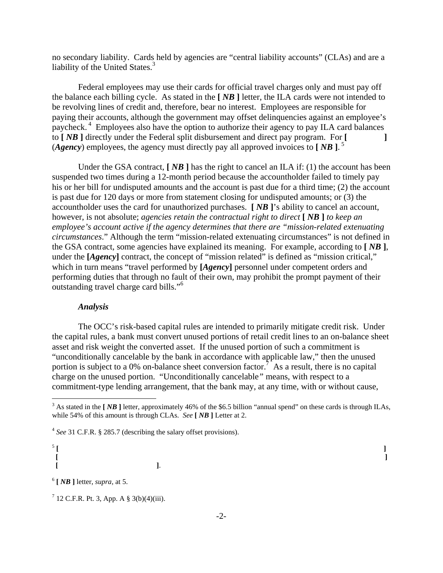no secondary liability. Cards held by agencies are "central liability accounts" (CLAs) and are a liability of the United States. $3$ 

Federal employees may use their cards for official travel charges only and must pay off the balance each billing cycle. As stated in the **[** *NB* **]** letter, the ILA cards were not intended to be revolving lines of credit and, therefore, bear no interest. Employees are responsible for paying their accounts, although the government may offset delinquencies against an employee's paycheck. 4 Employees also have the option to authorize their agency to pay ILA card balances to **[** *NB* **]** directly under the Federal split disbursement and direct pay program. For **[ ]**   $(\textbf{Agency})$  employees, the agency must directly pay all approved invoices to  $[\textbf{NB}]\right)^5$ 

Under the GSA contract, **[** *NB* **]** has the right to cancel an ILA if: (1) the account has been suspended two times during a 12-month period because the accountholder failed to timely pay his or her bill for undisputed amounts and the account is past due for a third time; (2) the account is past due for 120 days or more from statement closing for undisputed amounts; or (3) the accountholder uses the card for unauthorized purchases. **[** *NB* **]**'s ability to cancel an account, however, is not absolute; *agencies retain the contractual right to direct* **[** *NB* **]** *to keep an employee's account active if the agency determines that there are "mission-related extenuating circumstances*." Although the term "mission-related extenuating circumstances" is not defined in the GSA contract, some agencies have explained its meaning. For example, according to **[** *NB* **]**, under the **[***Agency*] contract, the concept of "mission related" is defined as "mission critical," which in turn means "travel performed by **[***Agency***]** personnel under competent orders and performing duties that through no fault of their own, may prohibit the prompt payment of their outstanding travel charge card bills."<sup>6</sup>

### *Analysis*

The OCC's risk-based capital rules are intended to primarily mitigate credit risk. Under the capital rules, a bank must convert unused portions of retail credit lines to an on-balance sheet asset and risk weight the converted asset. If the unused portion of such a commitment is "unconditionally cancelable by the bank in accordance with applicable law," then the unused portion is subject to a 0% on-balance sheet conversion factor.<sup>7</sup> As a result, there is no capital charge on the unused portion. "Unconditionally cancelable*"* means, with respect to a commitment-type lending arrangement, that the bank may, at any time, with or without cause,

<sup>4</sup>*See* 31 C.F.R. § 285.7 (describing the salary offset provisions).

 $\frac{5}{1}$   $\left[$ **[ ] [ ]**.

 $<sup>6</sup>$  [ *NB* ] letter, *supra*, at 5.</sup>

 $7$  12 C.F.R. Pt. 3, App. A § 3(b)(4)(iii).

<sup>&</sup>lt;sup>3</sup> As stated in the [*NB* ] letter, approximately 46% of the \$6.5 billion "annual spend" on these cards is through ILAs, while 54% of this amount is through CLAs. *See* **[** *NB* **]** Letter at 2.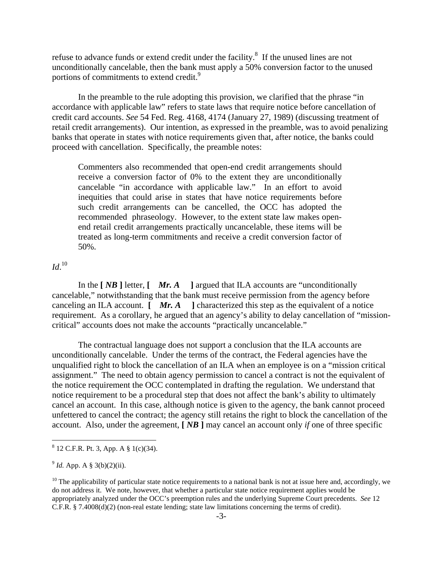refuse to advance funds or extend credit under the facility.8 If the unused lines are not unconditionally cancelable, then the bank must apply a 50% conversion factor to the unused portions of commitments to extend credit.<sup>9</sup>

In the preamble to the rule adopting this provision, we clarified that the phrase "in accordance with applicable law" refers to state laws that require notice before cancellation of credit card accounts. *See* 54 Fed. Reg. 4168, 4174 (January 27, 1989) (discussing treatment of retail credit arrangements). Our intention, as expressed in the preamble, was to avoid penalizing banks that operate in states with notice requirements given that, after notice, the banks could proceed with cancellation. Specifically, the preamble notes:

Commenters also recommended that open-end credit arrangements should receive a conversion factor of 0% to the extent they are unconditionally cancelable "in accordance with applicable law." In an effort to avoid inequities that could arise in states that have notice requirements before such credit arrangements can be cancelled, the OCC has adopted the recommended phraseology. However, to the extent state law makes openend retail credit arrangements practically uncancelable, these items will be treated as long-term commitments and receive a credit conversion factor of 50%.

*Id*. 10

In the **[** *NB* **]** letter, **[** *Mr. A* **]** argued that ILA accounts are "unconditionally cancelable," notwithstanding that the bank must receive permission from the agency before canceling an ILA account. **[** *Mr. A* **]** characterized this step as the equivalent of a notice requirement. As a corollary, he argued that an agency's ability to delay cancellation of "missioncritical" accounts does not make the accounts "practically uncancelable."

The contractual language does not support a conclusion that the ILA accounts are unconditionally cancelable. Under the terms of the contract, the Federal agencies have the unqualified right to block the cancellation of an ILA when an employee is on a "mission critical assignment." The need to obtain agency permission to cancel a contract is not the equivalent of the notice requirement the OCC contemplated in drafting the regulation. We understand that notice requirement to be a procedural step that does not affect the bank's ability to ultimately cancel an account. In this case, although notice is given to the agency, the bank cannot proceed unfettered to cancel the contract; the agency still retains the right to block the cancellation of the account. Also, under the agreement, **[** *NB* **]** may cancel an account only *if* one of three specific

<sup>8</sup> 12 C.F.R. Pt. 3, App. A § 1(c)(34).

 $^{9}$  *Id.* App. A § 3(b)(2)(ii).

 $10$  The applicability of particular state notice requirements to a national bank is not at issue here and, accordingly, we do not address it. We note, however, that whether a particular state notice requirement applies would be appropriately analyzed under the OCC's preemption rules and the underlying Supreme Court precedents. *See* 12 C.F.R. § 7.4008(d)(2) (non-real estate lending; state law limitations concerning the terms of credit).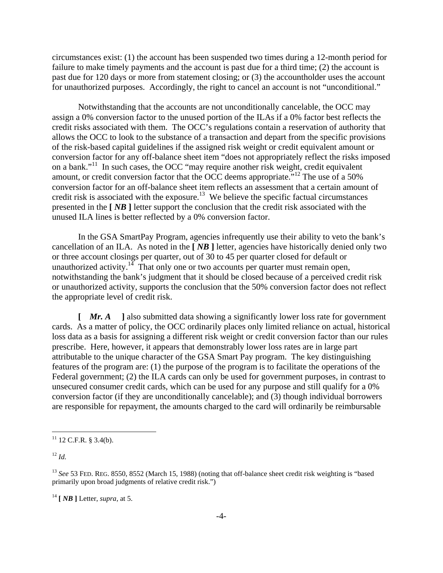circumstances exist: (1) the account has been suspended two times during a 12-month period for failure to make timely payments and the account is past due for a third time; (2) the account is past due for 120 days or more from statement closing; or (3) the accountholder uses the account for unauthorized purposes. Accordingly, the right to cancel an account is not "unconditional."

Notwithstanding that the accounts are not unconditionally cancelable, the OCC may assign a 0% conversion factor to the unused portion of the ILAs if a 0% factor best reflects the credit risks associated with them. The OCC's regulations contain a reservation of authority that allows the OCC to look to the substance of a transaction and depart from the specific provisions of the risk-based capital guidelines if the assigned risk weight or credit equivalent amount or conversion factor for any off-balance sheet item "does not appropriately reflect the risks imposed on a bank."<sup>11</sup> In such cases, the OCC "may require another risk weight, credit equivalent amount, or credit conversion factor that the OCC deems appropriate.<sup> $12$ </sup> The use of a 50% conversion factor for an off-balance sheet item reflects an assessment that a certain amount of credit risk is associated with the exposure.<sup>13</sup> We believe the specific factual circumstances presented in the **[** *NB* **]** letter support the conclusion that the credit risk associated with the unused ILA lines is better reflected by a 0% conversion factor.

In the GSA SmartPay Program, agencies infrequently use their ability to veto the bank's cancellation of an ILA. As noted in the **[** *NB* **]** letter, agencies have historically denied only two or three account closings per quarter, out of 30 to 45 per quarter closed for default or unauthorized activity.<sup>14</sup> That only one or two accounts per quarter must remain open, notwithstanding the bank's judgment that it should be closed because of a perceived credit risk or unauthorized activity, supports the conclusion that the 50% conversion factor does not reflect the appropriate level of credit risk.

**[** *Mr. A* **]** also submitted data showing a significantly lower loss rate for government cards. As a matter of policy, the OCC ordinarily places only limited reliance on actual, historical loss data as a basis for assigning a different risk weight or credit conversion factor than our rules prescribe. Here, however, it appears that demonstrably lower loss rates are in large part attributable to the unique character of the GSA Smart Pay program. The key distinguishing features of the program are: (1) the purpose of the program is to facilitate the operations of the Federal government; (2) the ILA cards can only be used for government purposes, in contrast to unsecured consumer credit cards, which can be used for any purpose and still qualify for a 0% conversion factor (if they are unconditionally cancelable); and (3) though individual borrowers are responsible for repayment, the amounts charged to the card will ordinarily be reimbursable

 $11$  12 C.F.R. § 3.4(b).

 $12^1$ *Id.* 

<sup>&</sup>lt;sup>13</sup> See 53 FED. REG. 8550, 8552 (March 15, 1988) (noting that off-balance sheet credit risk weighting is "based primarily upon broad judgments of relative credit risk.")

 $^{14}$  [  $NB$  ] Letter, *supra*, at 5.